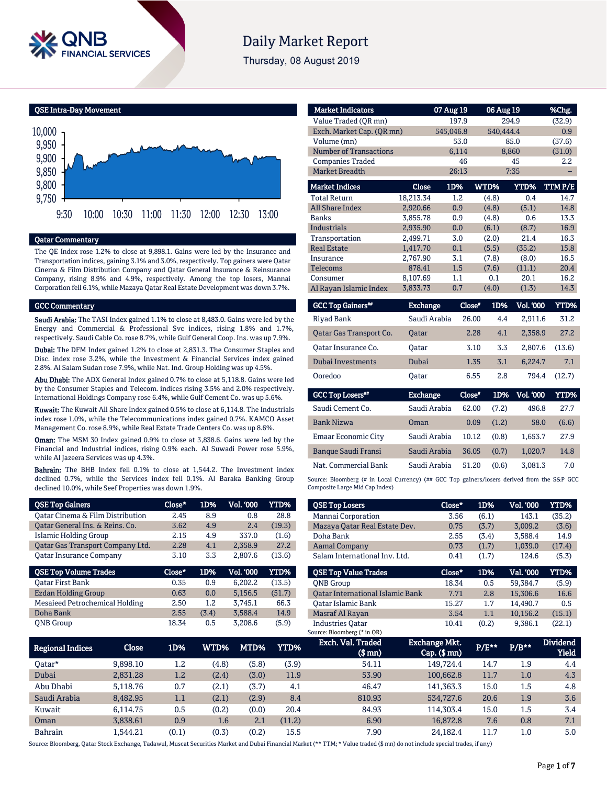

# **Daily Market Report**

Thursday, 08 August 2019

QSE Intra-Day Movement



#### Qatar Commentary

The QE Index rose 1.2% to close at 9,898.1. Gains were led by the Insurance and Transportation indices, gaining 3.1% and 3.0%, respectively. Top gainers were Qatar Cinema & Film Distribution Company and Qatar General Insurance & Reinsurance Company, rising 8.9% and 4.9%, respectively. Among the top losers, Mannai Corporation fell 6.1%, while Mazaya Qatar Real Estate Development was down 3.7%.

#### GCC Commentary

Saudi Arabia: The TASI Index gained 1.1% to close at 8,483.0. Gains were led by the Energy and Commercial & Professional Svc indices, rising 1.8% and 1.7%, respectively. Saudi Cable Co. rose 8.7%, while Gulf General Coop. Ins. was up 7.9%.

Dubai: The DFM Index gained 1.2% to close at 2,831.3. The Consumer Staples and Disc. index rose 3.2%, while the Investment & Financial Services index gained 2.8%. Al Salam Sudan rose 7.9%, while Nat. Ind. Group Holding was up 4.5%.

Abu Dhabi: The ADX General Index gained 0.7% to close at 5,118.8. Gains were led by the Consumer Staples and Telecom. indices rising 3.5% and 2.0% respectively. International Holdings Company rose 6.4%, while Gulf Cement Co. was up 5.6%.

Kuwait: The Kuwait All Share Index gained 0.5% to close at 6,114.8. The Industrials index rose 1.0%, while the Telecommunications index gained 0.7%. KAMCO Asset Management Co. rose 8.9%, while Real Estate Trade Centers Co. was up 8.6%.

Oman: The MSM 30 Index gained 0.9% to close at 3,838.6. Gains were led by the Financial and Industrial indices, rising 0.9% each. Al Suwadi Power rose 5.9%, while Al Jazeera Services was up 4.3%.

Bahrain: The BHB Index fell 0.1% to close at 1,544.2. The Investment index declined 0.7%, while the Services index fell 0.1%. Al Baraka Banking Group declined 10.0%, while Seef Properties was down 1.9%.

| <b>QSE Top Gainers</b>           | Close* | 1D%   | Vol. 000         | YTD%   |
|----------------------------------|--------|-------|------------------|--------|
| Oatar Cinema & Film Distribution | 2.45   | 8.9   | 0.8              | 28.8   |
| Oatar General Ins. & Reins. Co.  | 3.62   | 4.9   | 2.4              | (19.3) |
| Islamic Holding Group            | 2.15   | 4.9   | 337.0            | (1.6)  |
| Qatar Gas Transport Company Ltd. | 2.28   | 4.1   | 2.358.9          | 27.2   |
| <b>Qatar Insurance Company</b>   | 3.10   | 3.3   | 2.807.6          | (13.6) |
|                                  |        |       |                  |        |
| <b>QSE Top Volume Trades</b>     | Close* | 1D%   | <b>Vol. '000</b> | YTD%   |
| <b>Oatar First Bank</b>          | 0.35   | 0.9   | 6.202.2          | (13.5) |
| Ezdan Holding Group              | 0.63   | 0.0   | 5,156.5          | (51.7) |
| Mesaieed Petrochemical Holding   | 2.50   | 1.2   | 3,745.1          | 66.3   |
| Doha Bank                        | 2.55   | (3.4) | 3.588.4          | 14.9   |

| <b>Market Indicators</b>      |           | 07 Aug 19 | 06 Aug 19 |           | %Chg.  |
|-------------------------------|-----------|-----------|-----------|-----------|--------|
| Value Traded (OR mn)          |           | 197.9     |           | 294.9     | (32.9) |
| Exch. Market Cap. (QR mn)     |           | 545,046.8 | 540,444.4 |           | 0.9    |
| Volume (mn)                   |           | 53.0      |           | 85.0      | (37.6) |
| <b>Number of Transactions</b> |           | 6,114     |           | 8,860     | (31.0) |
| <b>Companies Traded</b>       |           | 46        |           | 45        | 2.2    |
| <b>Market Breadth</b>         |           | 26:13     |           | 7:35      |        |
| <b>Market Indices</b>         | Close     | 1D%       | WTD%      | YTD%      | TTMP/E |
| <b>Total Return</b>           | 18.213.34 | $1.2\,$   | (4.8)     | 0.4       | 14.7   |
| <b>All Share Index</b>        | 2,920.66  | 0.9       | (4.8)     | (5.1)     | 14.8   |
| <b>Banks</b>                  | 3.855.78  | 0.9       | (4.8)     | 0.6       | 13.3   |
| <b>Industrials</b>            | 2,935.90  | 0.0       | (6.1)     | (8.7)     | 16.9   |
| Transportation                | 2.499.71  | 3.0       | (2.0)     | 21.4      | 16.3   |
| <b>Real Estate</b>            | 1,417.70  | 0.1       | (5.5)     | (35.2)    | 15.8   |
| Insurance                     | 2,767.90  | 3.1       | (7.8)     | (8.0)     | 16.5   |
| <b>Telecoms</b>               | 878.41    | 1.5       | (7.6)     | (11.1)    | 20.4   |
| Consumer                      | 8,107.69  | 1.1       | 0.1       | 20.1      | 16.2   |
| Al Rayan Islamic Index        | 3,833.73  | 0.7       | (4.0)     | (1.3)     | 14.3   |
| -----<br>- -                  | - -       | and i     | ----      | -- - ---- | ---    |

| <b>GCC Top Gainers</b> <sup>##</sup> | <b>Exchange</b> | Close* | 1D% | Vol. '000 | YTD%   |
|--------------------------------------|-----------------|--------|-----|-----------|--------|
| Rivad Bank                           | Saudi Arabia    | 26.00  | 4.4 | 2.911.6   | 31.2   |
| Oatar Gas Transport Co.              | <b>Oatar</b>    | 2.28   | 4.1 | 2.358.9   | 27.2   |
| Oatar Insurance Co.                  | Oatar           | 3.10   | 3.3 | 2.807.6   | (13.6) |
| Dubai Investments                    | Dubai           | 1.35   | 3.1 | 6.224.7   | 7.1    |
| Ooredoo                              | Oatar           | 6.55   | 2.8 | 794.4     | (12.7) |

| <b>GCC Top Losers**</b>    | <b>Exchange</b> | Close* | 1D%   | <b>Vol. '000</b> | YTD%  |
|----------------------------|-----------------|--------|-------|------------------|-------|
| Saudi Cement Co.           | Saudi Arabia    | 62.00  | (7.2) | 496.8            | 27.7  |
| <b>Bank Nizwa</b>          | Oman            | 0.09   | (1.2) | 58.0             | (6.6) |
| Emaar Economic City        | Saudi Arabia    | 10.12  | (0.8) | 1.653.7          | 27.9  |
| <b>Banque Saudi Fransi</b> | Saudi Arabia    | 36.05  | (0.7) | 1.020.7          | 14.8  |
| Nat. Commercial Bank       | Saudi Arabia    | 51.20  | (0.6) | 3.081.3          | 7.0   |

Source: Bloomberg (# in Local Currency) (## GCC Top gainers/losers derived from the S&P GCC Composite Large Mid Cap Index)

| <b>QSE Top Losers</b>            | $Close*$ | 1D%   | <b>Vol. '000</b> | YTD%   |
|----------------------------------|----------|-------|------------------|--------|
| Mannai Corporation               | 3.56     | (6.1) | 143.1            | (35.2) |
| Mazaya Qatar Real Estate Dev.    | 0.75     | (3.7) | 3,009.2          | (3.6)  |
| Doha Bank                        | 2.55     | (3.4) | 3,588.4          | 14.9   |
| <b>Aamal Company</b>             | 0.73     | (1.7) | 1,039.0          | (17.4) |
| Salam International Inv. Ltd.    | 0.41     | (1.7) | 124.6            | (5.3)  |
|                                  |          |       |                  |        |
| <b>OSE Top Value Trades</b>      | Close*   | 1D%   | Val. '000        | YTD%   |
| <b>ONB</b> Group                 | 18.34    | 0.5   | 59.384.7         | (5.9)  |
| Qatar International Islamic Bank | 7.71     | 2.8   | 15,306.6         | 16.6   |
| Oatar Islamic Bank               | 15.27    | 1.7   | 14.490.7         | 0.5    |
| Masraf Al Rayan                  | 3.54     | 1.1   | 10.156.2         | (15.1) |

| Regional Indices | Close    | 1D%     | WTD%  | MTD%  | YTD%   | Exch. Val. Traded<br>$$$ mn $)$ | <b>Exchange Mkt.</b><br>$Cap.$ (\$ mn) | P/E** | $P/B***$ | <b>Dividend</b><br>Yield |
|------------------|----------|---------|-------|-------|--------|---------------------------------|----------------------------------------|-------|----------|--------------------------|
| 0atar*           | 9,898.10 | 1.2     | (4.8) | (5.8) | (3.9)  | 54.11                           | 149.724.4                              | 14.7  | 1.9      | 4.4                      |
| Dubai            | 2.831.28 | 1.2     | (2.4) | (3.0) | 11.9   | 53.90                           | 100.662.8                              | 11.7  | 1.0      | 4.3                      |
| Abu Dhabi        | 5.118.76 | 0.7     | (2.1) | (3.7) | 4.1    | 46.47                           | 141.363.3                              | 15.0  | 1.5      | 4.8                      |
| Saudi Arabia     | 8,482.95 | $1.1\,$ | (2.1) | (2.9) | 8.4    | 810.93                          | 534,727.6                              | 20.6  | 1.9      | 3.6                      |
| Kuwait           | 6.114.75 | 0.5     | (0.2) | (0.0) | 20.4   | 84.93                           | 114.303.4                              | 15.0  | 1.5      | 3.4                      |
| Oman             | 3,838.61 | 0.9     | 1.6   | 2.1   | (11.2) | 6.90                            | 16.872.8                               | 7.6   | 0.8      | 7.1                      |
| <b>Bahrain</b>   | l.544.21 | (0.1)   | (0.3) | (0.2) | 15.5   | 7.90                            | 24.182.4                               | 11.7  | $1.0\,$  | 5.0                      |

Source: Bloomberg, Qatar Stock Exchange, Tadawul, Muscat Securities Market and Dubai Financial Market (\*\* TTM; \* Value traded (\$ mn) do not include special trades, if any)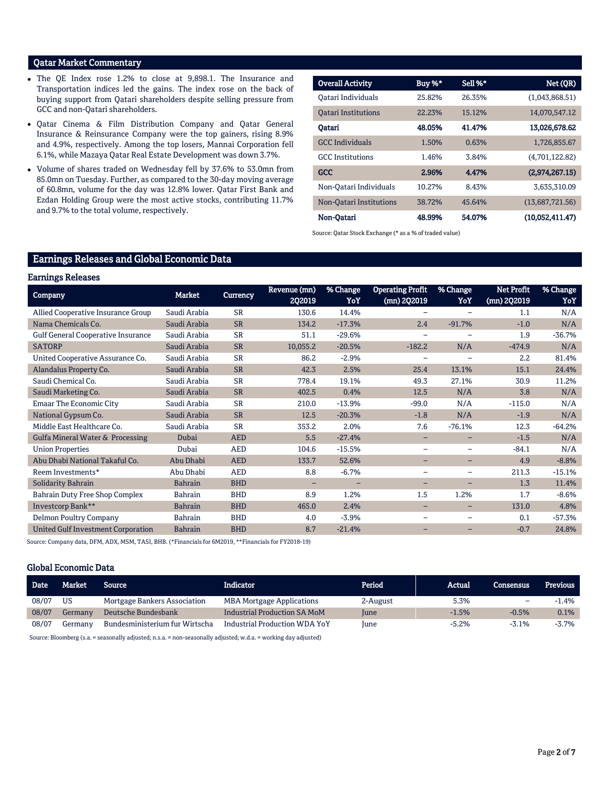#### Qatar Market Commentary

- The QE Index rose 1.2% to close at 9,898.1. The Insurance and Transportation indices led the gains. The index rose on the back of buying support from Qatari shareholders despite selling pressure from GCC and non-Qatari shareholders.
- Qatar Cinema & Film Distribution Company and Qatar General Insurance & Reinsurance Company were the top gainers, rising 8.9% and 4.9%, respectively. Among the top losers, Mannai Corporation fell 6.1%, while Mazaya Qatar Real Estate Development was down 3.7%.
- Volume of shares traded on Wednesday fell by 37.6% to 53.0mn from 85.0mn on Tuesday. Further, as compared to the 30-day moving average of 60.8mn, volume for the day was 12.8% lower. Qatar First Bank and Ezdan Holding Group were the most active stocks, contributing 11.7% and 9.7% to the total volume, respectively.

| <b>Overall Activity</b>    | Buy %* | Sell %* | Net (QR)        |
|----------------------------|--------|---------|-----------------|
| Oatari Individuals         | 25.82% | 26.35%  | (1,043,868.51)  |
| <b>Oatari Institutions</b> | 22.23% | 15.12%  | 14,070,547.12   |
| Oatari                     | 48.05% | 41.47%  | 13,026,678.62   |
| <b>GCC</b> Individuals     | 1.50%  | 0.63%   | 1,726,855.67    |
| <b>GCC</b> Institutions    | 1.46%  | 3.84%   | (4,701,122.82)  |
| <b>GCC</b>                 | 2.96%  | 4.47%   | (2,974,267.15)  |
| Non-Oatari Individuals     | 10.27% | 8.43%   | 3.635.310.09    |
| Non-Oatari Institutions    | 38.72% | 45.64%  | (13,687,721.56) |
| Non-Oatari                 | 48.99% | 54.07%  | (10,052,411.47) |

Source: Qatar Stock Exchange (\* as a % of traded value)

### Earnings Releases and Global Economic Data

#### Earnings Releases

| <b>Company</b>                            | <b>Market</b>  | Currency   | Revenue (mn)<br>202019 | % Change<br>YoY   | <b>Operating Profit</b><br>(mn) 2Q2019 | % Change<br>YoY          | Net Profit<br>(mn) 2Q2019 | % Change<br>YoY |
|-------------------------------------------|----------------|------------|------------------------|-------------------|----------------------------------------|--------------------------|---------------------------|-----------------|
| Allied Cooperative Insurance Group        | Saudi Arabia   | <b>SR</b>  | 130.6                  | 14.4%             | $\overline{\phantom{0}}$               | $\overline{\phantom{0}}$ | 1.1                       | N/A             |
| Nama Chemicals Co.                        | Saudi Arabia   | <b>SR</b>  | 134.2                  | $-17.3%$          | 2.4                                    | $-91.7%$                 | $-1.0$                    | N/A             |
| <b>Gulf General Cooperative Insurance</b> | Saudi Arabia   | <b>SR</b>  | 51.1                   | $-29.6%$          | ۳                                      |                          | 1.9                       | $-36.7%$        |
| <b>SATORP</b>                             | Saudi Arabia   | <b>SR</b>  | 10,055.2               | $-20.5%$          | $-182.2$                               | N/A                      | $-474.9$                  | N/A             |
| United Cooperative Assurance Co.          | Saudi Arabia   | <b>SR</b>  | 86.2                   | $-2.9%$           | $\overline{\phantom{0}}$               | $\overline{\phantom{0}}$ | 2.2                       | 81.4%           |
| Alandalus Property Co.                    | Saudi Arabia   | <b>SR</b>  | 42.3                   | 2.5%              | 25.4                                   | 13.1%                    | 15.1                      | 24.4%           |
| Saudi Chemical Co.                        | Saudi Arabia   | <b>SR</b>  | 778.4                  | 19.1%             | 49.3                                   | 27.1%                    | 30.9                      | 11.2%           |
| Saudi Marketing Co.                       | Saudi Arabia   | <b>SR</b>  | 402.5                  | 0.4%              | 12.5                                   | N/A                      | 3.8                       | N/A             |
| Emaar The Economic City                   | Saudi Arabia   | <b>SR</b>  | 210.0                  | $-13.9%$          | $-99.0$                                | N/A                      | $-115.0$                  | N/A             |
| National Gypsum Co.                       | Saudi Arabia   | <b>SR</b>  | 12.5                   | $-20.3%$          | $-1.8$                                 | N/A                      | $-1.9$                    | N/A             |
| Middle East Healthcare Co.                | Saudi Arabia   | <b>SR</b>  | 353.2                  | 2.0%              | 7.6                                    | $-76.1%$                 | 12.3                      | $-64.2%$        |
| Gulfa Mineral Water & Processing          | Dubai          | <b>AED</b> | 5.5                    | $-27.4%$          | $\overline{\phantom{0}}$               | -                        | $-1.5$                    | N/A             |
| <b>Union Properties</b>                   | Dubai          | <b>AED</b> | 104.6                  | $-15.5%$          | $\overline{\phantom{0}}$               | $\overline{\phantom{0}}$ | $-84.1$                   | N/A             |
| Abu Dhabi National Takaful Co.            | Abu Dhabi      | <b>AED</b> | 133.7                  | 52.6%             | -                                      | -                        | 4.9                       | $-8.8%$         |
| Reem Investments*                         | Abu Dhabi      | <b>AED</b> | 8.8                    | $-6.7%$           | $\overline{\phantom{0}}$               | $\overline{\phantom{0}}$ | 211.3                     | $-15.1%$        |
| Solidarity Bahrain                        | <b>Bahrain</b> | <b>BHD</b> | -                      | $\qquad \qquad -$ | -                                      | -                        | 1.3                       | 11.4%           |
| <b>Bahrain Duty Free Shop Complex</b>     | <b>Bahrain</b> | <b>BHD</b> | 8.9                    | 1.2%              | 1.5                                    | 1.2%                     | 1.7                       | $-8.6%$         |
| Investcorp Bank**                         | <b>Bahrain</b> | <b>BHD</b> | 465.0                  | 2.4%              | -                                      | -                        | 131.0                     | 4.8%            |
| Delmon Poultry Company                    | Bahrain        | <b>BHD</b> | 4.0                    | $-3.9%$           | $\qquad \qquad -$                      | $\qquad \qquad -$        | 0.1                       | $-57.3%$        |
| <b>United Gulf Investment Corporation</b> | <b>Bahrain</b> | <b>BHD</b> | 8.7                    | $-21.4%$          | ۳                                      | ۰                        | $-0.7$                    | 24.8%           |

Source: Company data, DFM, ADX, MSM, TASI, BHB. (\*Financials for 6M2019, \*\*Financials for FY2018-19)

#### Global Economic Data

| <b>Date</b> | Market  | <b>Source</b> '                | Indicator                           | Period   | Actual  | <b>Consensus</b>         | <b>Previous</b> |
|-------------|---------|--------------------------------|-------------------------------------|----------|---------|--------------------------|-----------------|
| 08/07       | US      | Mortgage Bankers Association   | <b>MBA Mortgage Applications</b>    | 2-August | 5.3%    | $\overline{\phantom{0}}$ | $-1.4%$         |
| 08/07       | Germany | Deutsche Bundesbank            | <b>Industrial Production SA MoM</b> | June     | $-1.5%$ | $-0.5%$                  | 0.1%            |
| 08/07       | Germany | Bundesministerium fur Wirtscha | Industrial Production WDA YoY       | June     | $-5.2%$ | $-3.1%$                  | $-3.7\%$        |

Source: Bloomberg (s.a. = seasonally adjusted; n.s.a. = non-seasonally adjusted; w.d.a. = working day adjusted)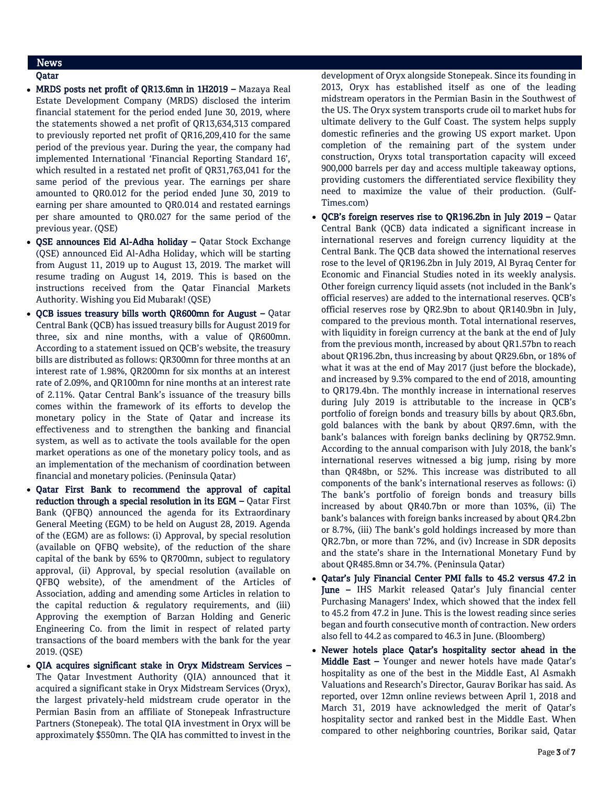## News

### Qatar

- MRDS posts net profit of QR13.6mn in 1H2019 Mazaya Real Estate Development Company (MRDS) disclosed the interim financial statement for the period ended June 30, 2019, where the statements showed a net profit of QR13,634,313 compared to previously reported net profit of QR16,209,410 for the same period of the previous year. During the year, the company had implemented International 'Financial Reporting Standard 16', which resulted in a restated net profit of QR31,763,041 for the same period of the previous year. The earnings per share amounted to QR0.012 for the period ended June 30, 2019 to earning per share amounted to QR0.014 and restated earnings per share amounted to QR0.027 for the same period of the previous year. (QSE)
- QSE announces Eid Al-Adha holiday Qatar Stock Exchange (QSE) announced Eid Al-Adha Holiday, which will be starting from August 11, 2019 up to August 13, 2019. The market will resume trading on August 14, 2019. This is based on the instructions received from the Qatar Financial Markets Authority. Wishing you Eid Mubarak! (QSE)
- QCB issues treasury bills worth QR600mn for August Qatar Central Bank (QCB) has issued treasury bills for August 2019 for three, six and nine months, with a value of QR600mn. According to a statement issued on QCB's website, the treasury bills are distributed as follows: QR300mn for three months at an interest rate of 1.98%, QR200mn for six months at an interest rate of 2.09%, and QR100mn for nine months at an interest rate of 2.11%. Qatar Central Bank's issuance of the treasury bills comes within the framework of its efforts to develop the monetary policy in the State of Qatar and increase its effectiveness and to strengthen the banking and financial system, as well as to activate the tools available for the open market operations as one of the monetary policy tools, and as an implementation of the mechanism of coordination between financial and monetary policies. (Peninsula Qatar)
- Qatar First Bank to recommend the approval of capital reduction through a special resolution in its EGM – Qatar First Bank (QFBQ) announced the agenda for its Extraordinary General Meeting (EGM) to be held on August 28, 2019. Agenda of the (EGM) are as follows: (i) Approval, by special resolution (available on QFBQ website), of the reduction of the share capital of the bank by 65% to QR700mn, subject to regulatory approval, (ii) Approval, by special resolution (available on QFBQ website), of the amendment of the Articles of Association, adding and amending some Articles in relation to the capital reduction & regulatory requirements, and (iii) Approving the exemption of Barzan Holding and Generic Engineering Co. from the limit in respect of related party transactions of the board members with the bank for the year 2019. (QSE)
- QIA acquires significant stake in Oryx Midstream Services The Qatar Investment Authority (QIA) announced that it acquired a significant stake in Oryx Midstream Services (Oryx), the largest privately-held midstream crude operator in the Permian Basin from an affiliate of Stonepeak Infrastructure Partners (Stonepeak). The total QIA investment in Oryx will be approximately \$550mn. The QIA has committed to invest in the

development of Oryx alongside Stonepeak. Since its founding in 2013, Oryx has established itself as one of the leading midstream operators in the Permian Basin in the Southwest of the US. The Oryx system transports crude oil to market hubs for ultimate delivery to the Gulf Coast. The system helps supply domestic refineries and the growing US export market. Upon completion of the remaining part of the system under construction, Oryxs total transportation capacity will exceed 900,000 barrels per day and access multiple takeaway options, providing customers the differentiated service flexibility they need to maximize the value of their production. (Gulf-Times.com)

- QCB's foreign reserves rise to QR196.2bn in July 2019 Qatar Central Bank (QCB) data indicated a significant increase in international reserves and foreign currency liquidity at the Central Bank. The QCB data showed the international reserves rose to the level of QR196.2bn in July 2019, Al Byraq Center for Economic and Financial Studies noted in its weekly analysis. Other foreign currency liquid assets (not included in the Bank's official reserves) are added to the international reserves. QCB's official reserves rose by QR2.9bn to about QR140.9bn in July, compared to the previous month. Total international reserves, with liquidity in foreign currency at the bank at the end of July from the previous month, increased by about QR1.57bn to reach about QR196.2bn, thus increasing by about QR29.6bn, or 18% of what it was at the end of May 2017 (just before the blockade), and increased by 9.3% compared to the end of 2018, amounting to QR179.4bn. The monthly increase in international reserves during July 2019 is attributable to the increase in QCB's portfolio of foreign bonds and treasury bills by about QR3.6bn, gold balances with the bank by about QR97.6mn, with the bank's balances with foreign banks declining by QR752.9mn. According to the annual comparison with July 2018, the bank's international reserves witnessed a big jump, rising by more than QR48bn, or 52%. This increase was distributed to all components of the bank's international reserves as follows: (i) The bank's portfolio of foreign bonds and treasury bills increased by about QR40.7bn or more than 103%, (ii) The bank's balances with foreign banks increased by about QR4.2bn or 8.7%, (iii) The bank's gold holdings increased by more than QR2.7bn, or more than 72%, and (iv) Increase in SDR deposits and the state's share in the International Monetary Fund by about QR485.8mn or 34.7%. (Peninsula Qatar)
- Qatar's July Financial Center PMI falls to 45.2 versus 47.2 in June – IHS Markit released Qatar's July financial center Purchasing Managers' Index, which showed that the index fell to 45.2 from 47.2 in June. This is the lowest reading since series began and fourth consecutive month of contraction. New orders also fell to 44.2 as compared to 46.3 in June. (Bloomberg)
- Newer hotels place Qatar's hospitality sector ahead in the Middle East - Younger and newer hotels have made Qatar's hospitality as one of the best in the Middle East, Al Asmakh Valuations and Research's Director, Gaurav Borikar has said. As reported, over 12mn online reviews between April 1, 2018 and March 31, 2019 have acknowledged the merit of Qatar's hospitality sector and ranked best in the Middle East. When compared to other neighboring countries, Borikar said, Qatar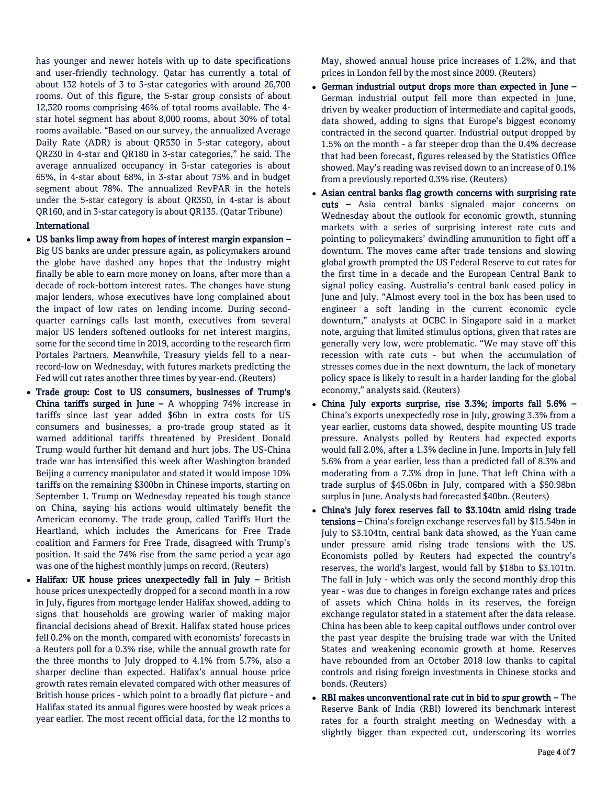has younger and newer hotels with up to date specifications and user-friendly technology. Qatar has currently a total of about 132 hotels of 3 to 5-star categories with around 26,700 rooms. Out of this figure, the 5-star group consists of about 12,320 rooms comprising 46% of total rooms available. The 4 star hotel segment has about 8,000 rooms, about 30% of total rooms available. "Based on our survey, the annualized Average Daily Rate (ADR) is about QR530 in 5-star category, about QR230 in 4-star and QR180 in 3-star categories," he said. The average annualized occupancy in 5-star categories is about 65%, in 4-star about 68%, in 3-star about 75% and in budget segment about 78%. The annualized RevPAR in the hotels under the 5-star category is about QR350, in 4-star is about QR160, and in 3-star category is about QR135. (Qatar Tribune)

#### International

- US banks limp away from hopes of interest margin expansion Big US banks are under pressure again, as policymakers around the globe have dashed any hopes that the industry might finally be able to earn more money on loans, after more than a decade of rock-bottom interest rates. The changes have stung major lenders, whose executives have long complained about the impact of low rates on lending income. During secondquarter earnings calls last month, executives from several major US lenders softened outlooks for net interest margins, some for the second time in 2019, according to the research firm Portales Partners. Meanwhile, Treasury yields fell to a nearrecord-low on Wednesday, with futures markets predicting the Fed will cut rates another three times by year-end. (Reuters)
- Trade group: Cost to US consumers, businesses of Trump's China tariffs surged in June  $-$  A whopping 74% increase in tariffs since last year added \$6bn in extra costs for US consumers and businesses, a pro-trade group stated as it warned additional tariffs threatened by President Donald Trump would further hit demand and hurt jobs. The US-China trade war has intensified this week after Washington branded Beijing a currency manipulator and stated it would impose 10% tariffs on the remaining \$300bn in Chinese imports, starting on September 1. Trump on Wednesday repeated his tough stance on China, saying his actions would ultimately benefit the American economy. The trade group, called Tariffs Hurt the Heartland, which includes the Americans for Free Trade coalition and Farmers for Free Trade, disagreed with Trump's position. It said the 74% rise from the same period a year ago was one of the highest monthly jumps on record. (Reuters)
- $\bullet$  Halifax: UK house prices unexpectedly fall in July British house prices unexpectedly dropped for a second month in a row in July, figures from mortgage lender Halifax showed, adding to signs that households are growing warier of making major financial decisions ahead of Brexit. Halifax stated house prices fell 0.2% on the month, compared with economists' forecasts in a Reuters poll for a 0.3% rise, while the annual growth rate for the three months to July dropped to 4.1% from 5.7%, also a sharper decline than expected. Halifax's annual house price growth rates remain elevated compared with other measures of British house prices - which point to a broadly flat picture - and Halifax stated its annual figures were boosted by weak prices a year earlier. The most recent official data, for the 12 months to

May, showed annual house price increases of 1.2%, and that prices in London fell by the most since 2009. (Reuters)

- German industrial output drops more than expected in June German industrial output fell more than expected in June, driven by weaker production of intermediate and capital goods, data showed, adding to signs that Europe's biggest economy contracted in the second quarter. Industrial output dropped by 1.5% on the month - a far steeper drop than the 0.4% decrease that had been forecast, figures released by the Statistics Office showed. May's reading was revised down to an increase of 0.1% from a previously reported 0.3% rise. (Reuters)
- Asian central banks flag growth concerns with surprising rate cuts – Asia central banks signaled major concerns on Wednesday about the outlook for economic growth, stunning markets with a series of surprising interest rate cuts and pointing to policymakers' dwindling ammunition to fight off a downturn. The moves came after trade tensions and slowing global growth prompted the US Federal Reserve to cut rates for the first time in a decade and the European Central Bank to signal policy easing. Australia's central bank eased policy in June and July. "Almost every tool in the box has been used to engineer a soft landing in the current economic cycle downturn," analysts at OCBC in Singapore said in a market note, arguing that limited stimulus options, given that rates are generally very low, were problematic. "We may stave off this recession with rate cuts - but when the accumulation of stresses comes due in the next downturn, the lack of monetary policy space is likely to result in a harder landing for the global economy," analysts said. (Reuters)
- China July exports surprise, rise 3.3%; imports fall 5.6% China's exports unexpectedly rose in July, growing 3.3% from a year earlier, customs data showed, despite mounting US trade pressure. Analysts polled by Reuters had expected exports would fall 2.0%, after a 1.3% decline in June. Imports in July fell 5.6% from a year earlier, less than a predicted fall of 8.3% and moderating from a 7.3% drop in June. That left China with a trade surplus of \$45.06bn in July, compared with a \$50.98bn surplus in June. Analysts had forecasted \$40bn. (Reuters)
- China's July forex reserves fall to \$3.104tn amid rising trade tensions - China's foreign exchange reserves fall by \$15.54bn in July to \$3.104tn, central bank data showed, as the Yuan came under pressure amid rising trade tensions with the US. Economists polled by Reuters had expected the country's reserves, the world's largest, would fall by \$18bn to \$3.101tn. The fall in July - which was only the second monthly drop this year - was due to changes in foreign exchange rates and prices of assets which China holds in its reserves, the foreign exchange regulator stated in a statement after the data release. China has been able to keep capital outflows under control over the past year despite the bruising trade war with the United States and weakening economic growth at home. Reserves have rebounded from an October 2018 low thanks to capital controls and rising foreign investments in Chinese stocks and bonds. (Reuters)
- RBI makes unconventional rate cut in bid to spur growth The Reserve Bank of India (RBI) lowered its benchmark interest rates for a fourth straight meeting on Wednesday with a slightly bigger than expected cut, underscoring its worries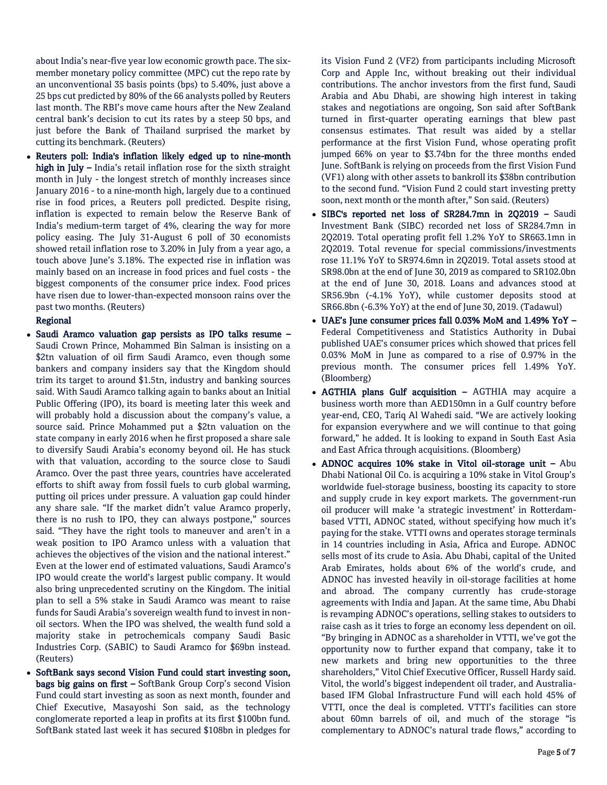about India's near-five year low economic growth pace. The sixmember monetary policy committee (MPC) cut the repo rate by an unconventional 35 basis points (bps) to 5.40%, just above a 25 bps cut predicted by 80% of the 66 analysts polled by Reuters last month. The RBI's move came hours after the New Zealand central bank's decision to cut its rates by a steep 50 bps, and just before the Bank of Thailand surprised the market by cutting its benchmark. (Reuters)

 Reuters poll: India's inflation likely edged up to nine-month high in July – India's retail inflation rose for the sixth straight month in July - the longest stretch of monthly increases since January 2016 - to a nine-month high, largely due to a continued rise in food prices, a Reuters poll predicted. Despite rising, inflation is expected to remain below the Reserve Bank of India's medium-term target of 4%, clearing the way for more policy easing. The July 31-August 6 poll of 30 economists showed retail inflation rose to 3.20% in July from a year ago, a touch above June's 3.18%. The expected rise in inflation was mainly based on an increase in food prices and fuel costs - the biggest components of the consumer price index. Food prices have risen due to lower-than-expected monsoon rains over the past two months. (Reuters)

#### Regional

- Saudi Aramco valuation gap persists as IPO talks resume Saudi Crown Prince, Mohammed Bin Salman is insisting on a \$2tn valuation of oil firm Saudi Aramco, even though some bankers and company insiders say that the Kingdom should trim its target to around \$1.5tn, industry and banking sources said. With Saudi Aramco talking again to banks about an Initial Public Offering (IPO), its board is meeting later this week and will probably hold a discussion about the company's value, a source said. Prince Mohammed put a \$2tn valuation on the state company in early 2016 when he first proposed a share sale to diversify Saudi Arabia's economy beyond oil. He has stuck with that valuation, according to the source close to Saudi Aramco. Over the past three years, countries have accelerated efforts to shift away from fossil fuels to curb global warming, putting oil prices under pressure. A valuation gap could hinder any share sale. "If the market didn't value Aramco properly, there is no rush to IPO, they can always postpone," sources said. "They have the right tools to maneuver and aren't in a weak position to IPO Aramco unless with a valuation that achieves the objectives of the vision and the national interest." Even at the lower end of estimated valuations, Saudi Aramco's IPO would create the world's largest public company. It would also bring unprecedented scrutiny on the Kingdom. The initial plan to sell a 5% stake in Saudi Aramco was meant to raise funds for Saudi Arabia's sovereign wealth fund to invest in nonoil sectors. When the IPO was shelved, the wealth fund sold a majority stake in petrochemicals company Saudi Basic Industries Corp. (SABIC) to Saudi Aramco for \$69bn instead. (Reuters)
- SoftBank says second Vision Fund could start investing soon, bags big gains on first – SoftBank Group Corp's second Vision Fund could start investing as soon as next month, founder and Chief Executive, Masayoshi Son said, as the technology conglomerate reported a leap in profits at its first \$100bn fund. SoftBank stated last week it has secured \$108bn in pledges for

its Vision Fund 2 (VF2) from participants including Microsoft Corp and Apple Inc, without breaking out their individual contributions. The anchor investors from the first fund, Saudi Arabia and Abu Dhabi, are showing high interest in taking stakes and negotiations are ongoing, Son said after SoftBank turned in first-quarter operating earnings that blew past consensus estimates. That result was aided by a stellar performance at the first Vision Fund, whose operating profit jumped 66% on year to \$3.74bn for the three months ended June. SoftBank is relying on proceeds from the first Vision Fund (VF1) along with other assets to bankroll its \$38bn contribution to the second fund. "Vision Fund 2 could start investing pretty soon, next month or the month after," Son said. (Reuters)

- SIBC's reported net loss of SR284.7mn in 2Q2019 Saudi Investment Bank (SIBC) recorded net loss of SR284.7mn in 2Q2019. Total operating profit fell 1.2% YoY to SR663.1mn in 2Q2019. Total revenue for special commissions/investments rose 11.1% YoY to SR974.6mn in 2Q2019. Total assets stood at SR98.0bn at the end of June 30, 2019 as compared to SR102.0bn at the end of June 30, 2018. Loans and advances stood at SR56.9bn (-4.1% YoY), while customer deposits stood at SR66.8bn (-6.3% YoY) at the end of June 30, 2019. (Tadawul)
- UAE's June consumer prices fall 0.03% MoM and 1.49% YoY Federal Competitiveness and Statistics Authority in Dubai published UAE's consumer prices which showed that prices fell 0.03% MoM in June as compared to a rise of 0.97% in the previous month. The consumer prices fell 1.49% YoY. (Bloomberg)
- AGTHIA plans Gulf acquisition AGTHIA may acquire a business worth more than AED150mn in a Gulf country before year-end, CEO, Tariq Al Wahedi said. "We are actively looking for expansion everywhere and we will continue to that going forward," he added. It is looking to expand in South East Asia and East Africa through acquisitions. (Bloomberg)
- ADNOC acquires 10% stake in Vitol oil-storage unit Abu Dhabi National Oil Co. is acquiring a 10% stake in Vitol Group's worldwide fuel-storage business, boosting its capacity to store and supply crude in key export markets. The government-run oil producer will make 'a strategic investment' in Rotterdambased VTTI, ADNOC stated, without specifying how much it's paying for the stake. VTTI owns and operates storage terminals in 14 countries including in Asia, Africa and Europe. ADNOC sells most of its crude to Asia. Abu Dhabi, capital of the United Arab Emirates, holds about 6% of the world's crude, and ADNOC has invested heavily in oil-storage facilities at home and abroad. The company currently has crude-storage agreements with India and Japan. At the same time, Abu Dhabi is revamping ADNOC's operations, selling stakes to outsiders to raise cash as it tries to forge an economy less dependent on oil. "By bringing in ADNOC as a shareholder in VTTI, we've got the opportunity now to further expand that company, take it to new markets and bring new opportunities to the three shareholders," Vitol Chief Executive Officer, Russell Hardy said. Vitol, the world's biggest independent oil trader, and Australiabased IFM Global Infrastructure Fund will each hold 45% of VTTI, once the deal is completed. VTTI's facilities can store about 60mn barrels of oil, and much of the storage "is complementary to ADNOC's natural trade flows," according to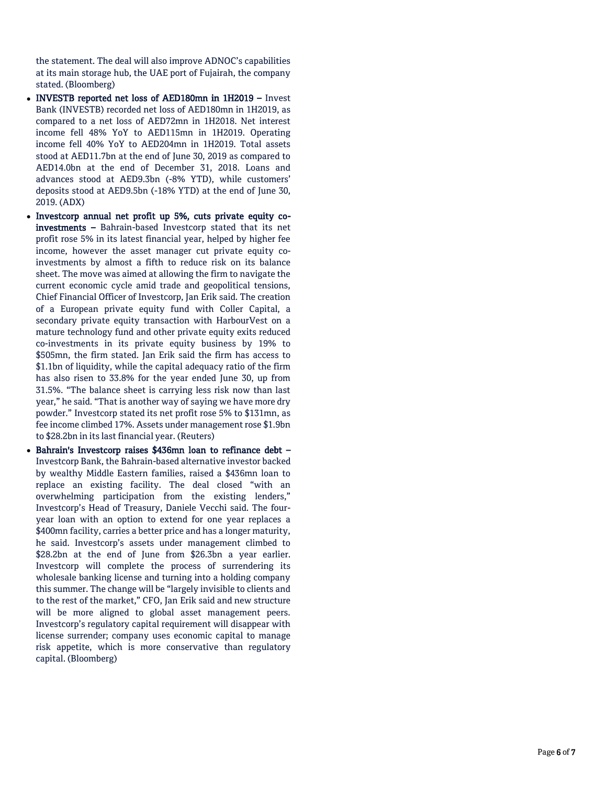the statement. The deal will also improve ADNOC's capabilities at its main storage hub, the UAE port of Fujairah, the company stated. (Bloomberg)

- INVESTB reported net loss of AED180mn in 1H2019 Invest Bank (INVESTB) recorded net loss of AED180mn in 1H2019, as compared to a net loss of AED72mn in 1H2018. Net interest income fell 48% YoY to AED115mn in 1H2019. Operating income fell 40% YoY to AED204mn in 1H2019. Total assets stood at AED11.7bn at the end of June 30, 2019 as compared to AED14.0bn at the end of December 31, 2018. Loans and advances stood at AED9.3bn ( -8% YTD), while customers' deposits stood at AED9.5bn ( -18% YTD) at the end of June 30, 2019. (ADX )
- Investcorp annual net profit up 5%, cuts private equity coinvestments - Bahrain-based Investcorp stated that its net profit rose 5% in its latest financial year, helped by higher fee income, however the asset manager cut private equity co investments by almost a fifth to reduce risk on its balance sheet. The move was aimed at allowing the firm to navigate the current economic cycle amid trade and geopolitical tensions, Chief Financial Officer of Investcorp, Jan Erik said. The creation of a European private equity fund with Coller Capital, a secondary private equity transaction with HarbourVest on a mature technology fund and other private equity exits reduced co -investments in its private equity business by 19% to \$505mn, the firm stated. Jan Erik said the firm has access to \$1.1bn of liquidity, while the capital adequacy ratio of the firm has also risen to 33.8% for the year ended June 30, up from 31.5%. "The balance sheet is carrying less risk now than last year," he said. "That is another way of saying we have more dry powder." Investcorp stated its net profit rose 5% to \$131mn, as fee income climbed 17%. Assets under management rose \$1.9bn to \$28.2bn in its last financial year. (Reuters)
- Bahrain's Investcorp raises \$436mn loan to refinance debt Investcorp Bank, the Bahrain -based alternative investor backed by wealthy Middle Eastern families, raised a \$436mn loan to replace an existing facility. The deal closed "with an overwhelming participation from the existing lenders," Investcorp's Head of Treasury, Daniele Vecchi said. The four year loan with an option to extend for one year replaces a \$400mn facility, carries a better price and has a longer maturity, he said. Investcorp's assets under management climbed to \$28.2bn at the end of June from \$26.3bn a year earlier. Investcorp will complete the process of surrendering its wholesale banking license and turning into a holding company this summer. The change will be "largely invisible to clients and to the rest of the market," CFO, Jan Erik said and new structure will be more aligned to global asset management peers. Investcorp's regulatory capital requirement will disappear with license surrender; company uses economic capital to manage risk appetite, which is more conservative than regulatory capital. (Bloomberg)